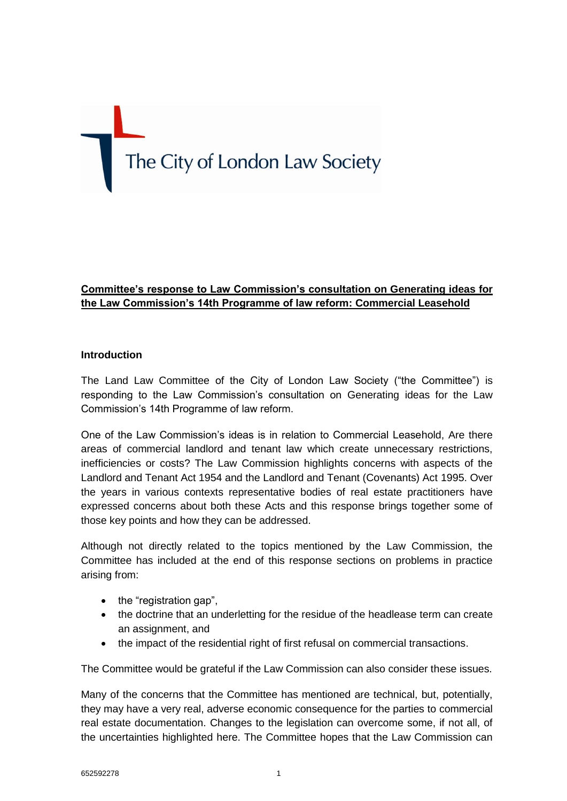# The City of London Law Society

# **Committee's response to Law Commission's consultation on Generating ideas for the Law Commission's 14th Programme of law reform: Commercial Leasehold**

## **Introduction**

The Land Law Committee of the City of London Law Society ("the Committee") is responding to the Law Commission's consultation on Generating ideas for the Law Commission's 14th Programme of law reform.

One of the Law Commission's ideas is in relation to Commercial Leasehold, Are there areas of commercial landlord and tenant law which create unnecessary restrictions, inefficiencies or costs? The Law Commission highlights concerns with aspects of the Landlord and Tenant Act 1954 and the Landlord and Tenant (Covenants) Act 1995. Over the years in various contexts representative bodies of real estate practitioners have expressed concerns about both these Acts and this response brings together some of those key points and how they can be addressed.

Although not directly related to the topics mentioned by the Law Commission, the Committee has included at the end of this response sections on problems in practice arising from:

- $\bullet$  the "registration gap",
- the doctrine that an underletting for the residue of the headlease term can create an assignment, and
- the impact of the residential right of first refusal on commercial transactions.

The Committee would be grateful if the Law Commission can also consider these issues.

Many of the concerns that the Committee has mentioned are technical, but, potentially, they may have a very real, adverse economic consequence for the parties to commercial real estate documentation. Changes to the legislation can overcome some, if not all, of the uncertainties highlighted here. The Committee hopes that the Law Commission can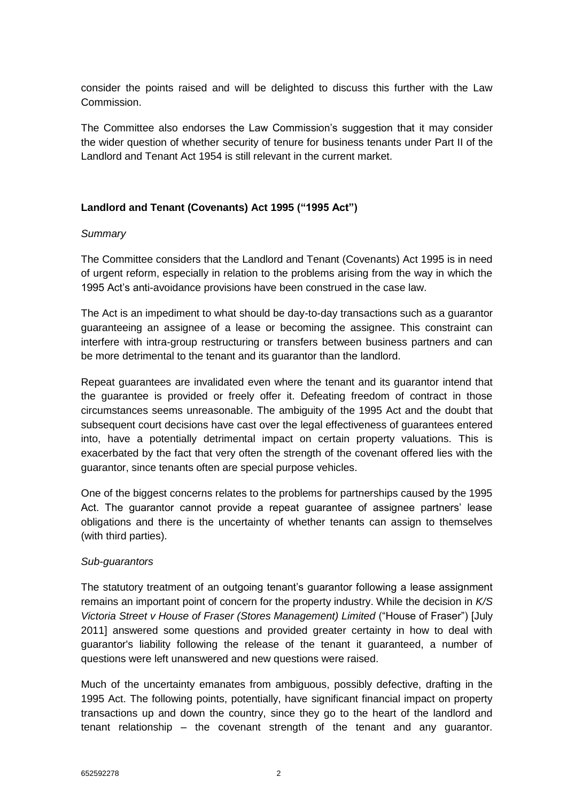consider the points raised and will be delighted to discuss this further with the Law Commission.

The Committee also endorses the Law Commission's suggestion that it may consider the wider question of whether security of tenure for business tenants under Part II of the Landlord and Tenant Act 1954 is still relevant in the current market.

## **Landlord and Tenant (Covenants) Act 1995 ("1995 Act")**

## *Summary*

The Committee considers that the Landlord and Tenant (Covenants) Act 1995 is in need of urgent reform, especially in relation to the problems arising from the way in which the 1995 Act's anti-avoidance provisions have been construed in the case law.

The Act is an impediment to what should be day-to-day transactions such as a guarantor guaranteeing an assignee of a lease or becoming the assignee. This constraint can interfere with intra-group restructuring or transfers between business partners and can be more detrimental to the tenant and its guarantor than the landlord.

Repeat guarantees are invalidated even where the tenant and its guarantor intend that the guarantee is provided or freely offer it. Defeating freedom of contract in those circumstances seems unreasonable. The ambiguity of the 1995 Act and the doubt that subsequent court decisions have cast over the legal effectiveness of guarantees entered into, have a potentially detrimental impact on certain property valuations. This is exacerbated by the fact that very often the strength of the covenant offered lies with the guarantor, since tenants often are special purpose vehicles.

One of the biggest concerns relates to the problems for partnerships caused by the 1995 Act. The guarantor cannot provide a repeat guarantee of assignee partners' lease obligations and there is the uncertainty of whether tenants can assign to themselves (with third parties).

## *Sub-guarantors*

The statutory treatment of an outgoing tenant's guarantor following a lease assignment remains an important point of concern for the property industry. While the decision in *K/S Victoria Street v House of Fraser (Stores Management) Limited* ("House of Fraser") [July 2011] answered some questions and provided greater certainty in how to deal with guarantor's liability following the release of the tenant it guaranteed, a number of questions were left unanswered and new questions were raised.

Much of the uncertainty emanates from ambiguous, possibly defective, drafting in the 1995 Act. The following points, potentially, have significant financial impact on property transactions up and down the country, since they go to the heart of the landlord and tenant relationship – the covenant strength of the tenant and any guarantor.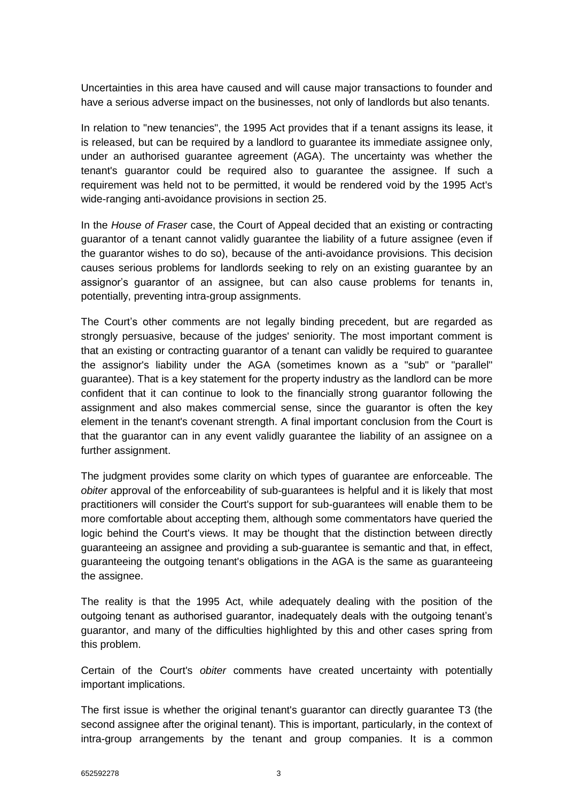Uncertainties in this area have caused and will cause major transactions to founder and have a serious adverse impact on the businesses, not only of landlords but also tenants.

In relation to "new tenancies", the 1995 Act provides that if a tenant assigns its lease, it is released, but can be required by a landlord to guarantee its immediate assignee only, under an authorised guarantee agreement (AGA). The uncertainty was whether the tenant's guarantor could be required also to guarantee the assignee. If such a requirement was held not to be permitted, it would be rendered void by the 1995 Act's wide-ranging anti-avoidance provisions in section 25.

In the *House of Fraser* case, the Court of Appeal decided that an existing or contracting guarantor of a tenant cannot validly guarantee the liability of a future assignee (even if the guarantor wishes to do so), because of the anti-avoidance provisions. This decision causes serious problems for landlords seeking to rely on an existing guarantee by an assignor's guarantor of an assignee, but can also cause problems for tenants in, potentially, preventing intra-group assignments.

The Court's other comments are not legally binding precedent, but are regarded as strongly persuasive, because of the judges' seniority. The most important comment is that an existing or contracting guarantor of a tenant can validly be required to guarantee the assignor's liability under the AGA (sometimes known as a "sub" or "parallel" guarantee). That is a key statement for the property industry as the landlord can be more confident that it can continue to look to the financially strong guarantor following the assignment and also makes commercial sense, since the guarantor is often the key element in the tenant's covenant strength. A final important conclusion from the Court is that the guarantor can in any event validly guarantee the liability of an assignee on a further assignment.

The judgment provides some clarity on which types of guarantee are enforceable. The *obiter* approval of the enforceability of sub-guarantees is helpful and it is likely that most practitioners will consider the Court's support for sub-guarantees will enable them to be more comfortable about accepting them, although some commentators have queried the logic behind the Court's views. It may be thought that the distinction between directly guaranteeing an assignee and providing a sub-guarantee is semantic and that, in effect, guaranteeing the outgoing tenant's obligations in the AGA is the same as guaranteeing the assignee.

The reality is that the 1995 Act, while adequately dealing with the position of the outgoing tenant as authorised guarantor, inadequately deals with the outgoing tenant's guarantor, and many of the difficulties highlighted by this and other cases spring from this problem.

Certain of the Court's *obiter* comments have created uncertainty with potentially important implications.

The first issue is whether the original tenant's guarantor can directly guarantee T3 (the second assignee after the original tenant). This is important, particularly, in the context of intra-group arrangements by the tenant and group companies. It is a common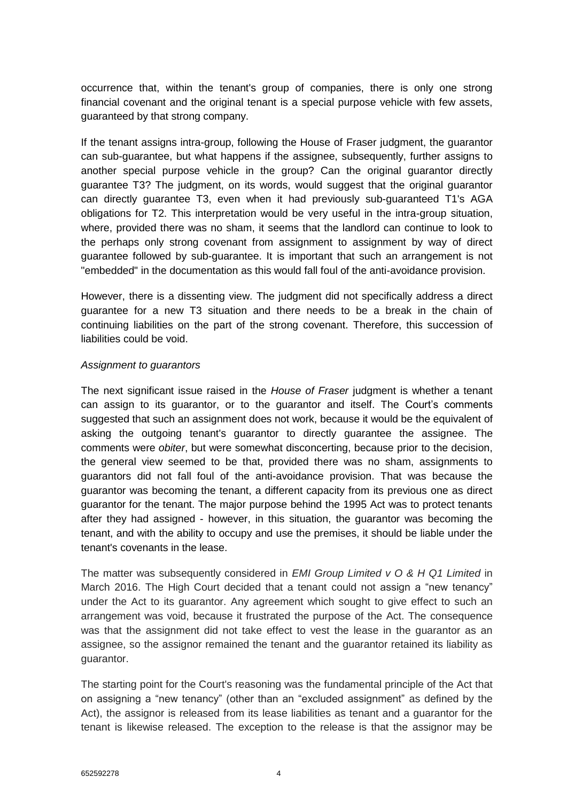occurrence that, within the tenant's group of companies, there is only one strong financial covenant and the original tenant is a special purpose vehicle with few assets, guaranteed by that strong company.

If the tenant assigns intra-group, following the House of Fraser judgment, the guarantor can sub-guarantee, but what happens if the assignee, subsequently, further assigns to another special purpose vehicle in the group? Can the original guarantor directly guarantee T3? The judgment, on its words, would suggest that the original guarantor can directly guarantee T3, even when it had previously sub-guaranteed T1's AGA obligations for T2. This interpretation would be very useful in the intra-group situation, where, provided there was no sham, it seems that the landlord can continue to look to the perhaps only strong covenant from assignment to assignment by way of direct guarantee followed by sub-guarantee. It is important that such an arrangement is not "embedded" in the documentation as this would fall foul of the anti-avoidance provision.

However, there is a dissenting view. The judgment did not specifically address a direct guarantee for a new T3 situation and there needs to be a break in the chain of continuing liabilities on the part of the strong covenant. Therefore, this succession of liabilities could be void.

## *Assignment to guarantors*

The next significant issue raised in the *House of Fraser* judgment is whether a tenant can assign to its guarantor, or to the guarantor and itself. The Court's comments suggested that such an assignment does not work, because it would be the equivalent of asking the outgoing tenant's guarantor to directly guarantee the assignee. The comments were *obiter*, but were somewhat disconcerting, because prior to the decision, the general view seemed to be that, provided there was no sham, assignments to guarantors did not fall foul of the anti-avoidance provision. That was because the guarantor was becoming the tenant, a different capacity from its previous one as direct guarantor for the tenant. The major purpose behind the 1995 Act was to protect tenants after they had assigned - however, in this situation, the guarantor was becoming the tenant, and with the ability to occupy and use the premises, it should be liable under the tenant's covenants in the lease.

The matter was subsequently considered in *EMI Group Limited v O & H Q1 Limited* in March 2016. The High Court decided that a tenant could not assign a "new tenancy" under the Act to its guarantor. Any agreement which sought to give effect to such an arrangement was void, because it frustrated the purpose of the Act. The consequence was that the assignment did not take effect to vest the lease in the guarantor as an assignee, so the assignor remained the tenant and the guarantor retained its liability as guarantor.

The starting point for the Court's reasoning was the fundamental principle of the Act that on assigning a "new tenancy" (other than an "excluded assignment" as defined by the Act), the assignor is released from its lease liabilities as tenant and a guarantor for the tenant is likewise released. The exception to the release is that the assignor may be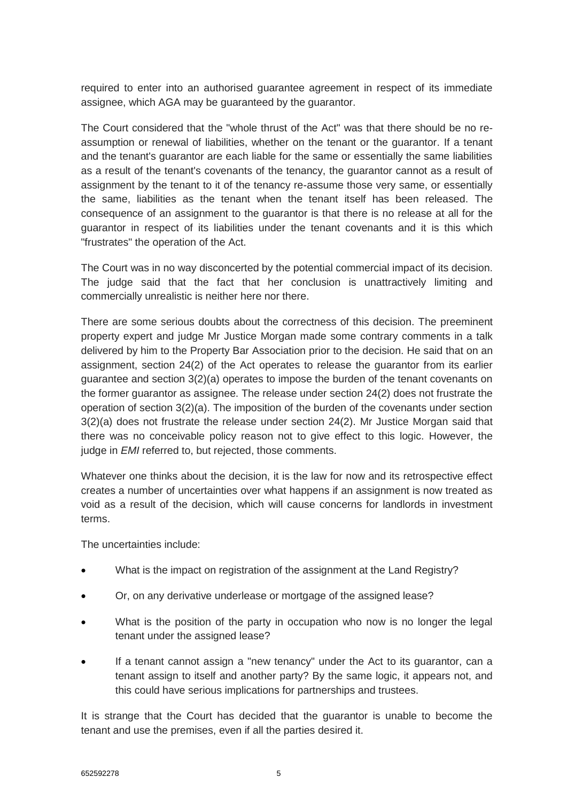required to enter into an authorised guarantee agreement in respect of its immediate assignee, which AGA may be guaranteed by the guarantor.

The Court considered that the "whole thrust of the Act" was that there should be no reassumption or renewal of liabilities, whether on the tenant or the guarantor. If a tenant and the tenant's guarantor are each liable for the same or essentially the same liabilities as a result of the tenant's covenants of the tenancy, the guarantor cannot as a result of assignment by the tenant to it of the tenancy re-assume those very same, or essentially the same, liabilities as the tenant when the tenant itself has been released. The consequence of an assignment to the guarantor is that there is no release at all for the guarantor in respect of its liabilities under the tenant covenants and it is this which "frustrates" the operation of the Act.

The Court was in no way disconcerted by the potential commercial impact of its decision. The judge said that the fact that her conclusion is unattractively limiting and commercially unrealistic is neither here nor there.

There are some serious doubts about the correctness of this decision. The preeminent property expert and judge Mr Justice Morgan made some contrary comments in a talk delivered by him to the Property Bar Association prior to the decision. He said that on an assignment, section 24(2) of the Act operates to release the guarantor from its earlier guarantee and section 3(2)(a) operates to impose the burden of the tenant covenants on the former guarantor as assignee. The release under section 24(2) does not frustrate the operation of section 3(2)(a). The imposition of the burden of the covenants under section 3(2)(a) does not frustrate the release under section 24(2). Mr Justice Morgan said that there was no conceivable policy reason not to give effect to this logic. However, the judge in *EMI* referred to, but rejected, those comments.

Whatever one thinks about the decision, it is the law for now and its retrospective effect creates a number of uncertainties over what happens if an assignment is now treated as void as a result of the decision, which will cause concerns for landlords in investment terms.

The uncertainties include:

- What is the impact on registration of the assignment at the Land Registry?
- Or, on any derivative underlease or mortgage of the assigned lease?
- What is the position of the party in occupation who now is no longer the legal tenant under the assigned lease?
- If a tenant cannot assign a "new tenancy" under the Act to its guarantor, can a tenant assign to itself and another party? By the same logic, it appears not, and this could have serious implications for partnerships and trustees.

It is strange that the Court has decided that the guarantor is unable to become the tenant and use the premises, even if all the parties desired it.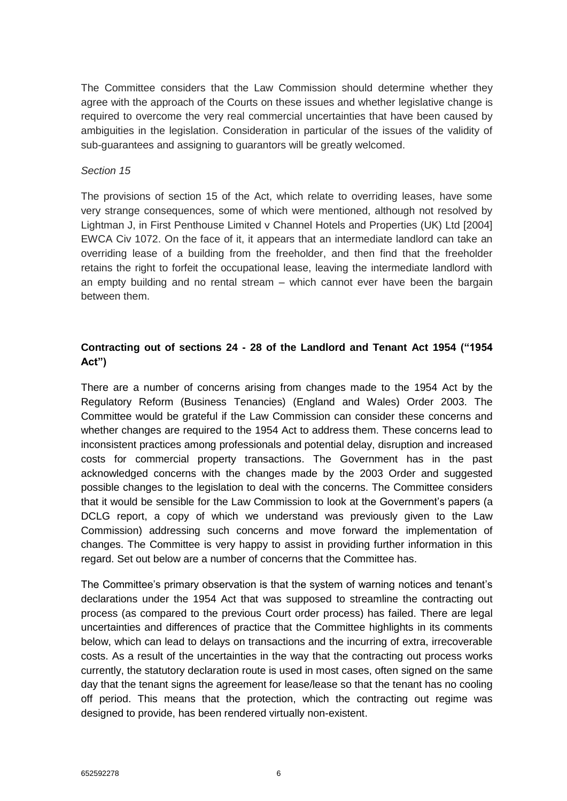The Committee considers that the Law Commission should determine whether they agree with the approach of the Courts on these issues and whether legislative change is required to overcome the very real commercial uncertainties that have been caused by ambiguities in the legislation. Consideration in particular of the issues of the validity of sub-guarantees and assigning to guarantors will be greatly welcomed.

#### *Section 15*

The provisions of section 15 of the Act, which relate to overriding leases, have some very strange consequences, some of which were mentioned, although not resolved by Lightman J, in First Penthouse Limited v Channel Hotels and Properties (UK) Ltd [2004] EWCA Civ 1072. On the face of it, it appears that an intermediate landlord can take an overriding lease of a building from the freeholder, and then find that the freeholder retains the right to forfeit the occupational lease, leaving the intermediate landlord with an empty building and no rental stream – which cannot ever have been the bargain between them.

# **Contracting out of sections 24 - 28 of the Landlord and Tenant Act 1954 ("1954 Act")**

There are a number of concerns arising from changes made to the 1954 Act by the Regulatory Reform (Business Tenancies) (England and Wales) Order 2003. The Committee would be grateful if the Law Commission can consider these concerns and whether changes are required to the 1954 Act to address them. These concerns lead to inconsistent practices among professionals and potential delay, disruption and increased costs for commercial property transactions. The Government has in the past acknowledged concerns with the changes made by the 2003 Order and suggested possible changes to the legislation to deal with the concerns. The Committee considers that it would be sensible for the Law Commission to look at the Government's papers (a DCLG report, a copy of which we understand was previously given to the Law Commission) addressing such concerns and move forward the implementation of changes. The Committee is very happy to assist in providing further information in this regard. Set out below are a number of concerns that the Committee has.

The Committee's primary observation is that the system of warning notices and tenant's declarations under the 1954 Act that was supposed to streamline the contracting out process (as compared to the previous Court order process) has failed. There are legal uncertainties and differences of practice that the Committee highlights in its comments below, which can lead to delays on transactions and the incurring of extra, irrecoverable costs. As a result of the uncertainties in the way that the contracting out process works currently, the statutory declaration route is used in most cases, often signed on the same day that the tenant signs the agreement for lease/lease so that the tenant has no cooling off period. This means that the protection, which the contracting out regime was designed to provide, has been rendered virtually non-existent.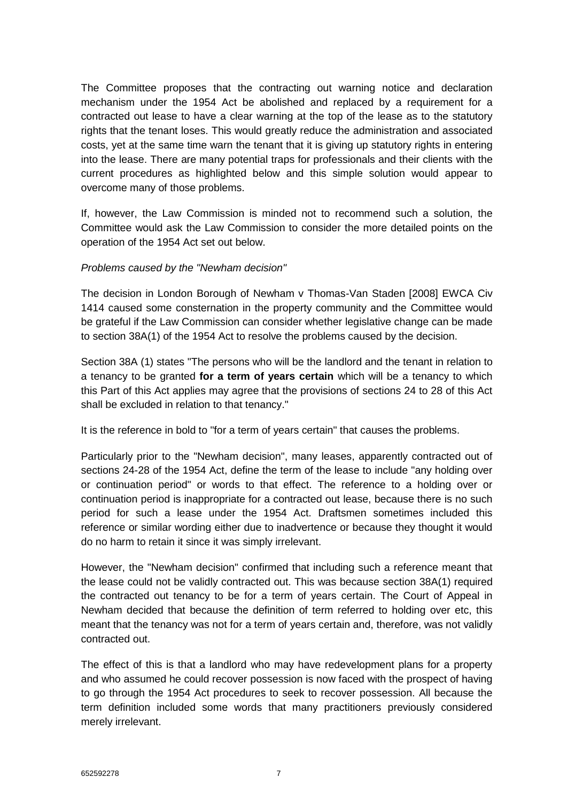The Committee proposes that the contracting out warning notice and declaration mechanism under the 1954 Act be abolished and replaced by a requirement for a contracted out lease to have a clear warning at the top of the lease as to the statutory rights that the tenant loses. This would greatly reduce the administration and associated costs, yet at the same time warn the tenant that it is giving up statutory rights in entering into the lease. There are many potential traps for professionals and their clients with the current procedures as highlighted below and this simple solution would appear to overcome many of those problems.

If, however, the Law Commission is minded not to recommend such a solution, the Committee would ask the Law Commission to consider the more detailed points on the operation of the 1954 Act set out below.

#### *Problems caused by the "Newham decision"*

The decision in London Borough of Newham v Thomas-Van Staden [2008] EWCA Civ 1414 caused some consternation in the property community and the Committee would be grateful if the Law Commission can consider whether legislative change can be made to section 38A(1) of the 1954 Act to resolve the problems caused by the decision.

Section 38A (1) states "The persons who will be the landlord and the tenant in relation to a tenancy to be granted **for a term of years certain** which will be a tenancy to which this Part of this Act applies may agree that the provisions of sections 24 to 28 of this Act shall be excluded in relation to that tenancy."

It is the reference in bold to "for a term of years certain" that causes the problems.

Particularly prior to the "Newham decision", many leases, apparently contracted out of sections 24-28 of the 1954 Act, define the term of the lease to include "any holding over or continuation period" or words to that effect. The reference to a holding over or continuation period is inappropriate for a contracted out lease, because there is no such period for such a lease under the 1954 Act. Draftsmen sometimes included this reference or similar wording either due to inadvertence or because they thought it would do no harm to retain it since it was simply irrelevant.

However, the "Newham decision" confirmed that including such a reference meant that the lease could not be validly contracted out. This was because section 38A(1) required the contracted out tenancy to be for a term of years certain. The Court of Appeal in Newham decided that because the definition of term referred to holding over etc, this meant that the tenancy was not for a term of years certain and, therefore, was not validly contracted out.

The effect of this is that a landlord who may have redevelopment plans for a property and who assumed he could recover possession is now faced with the prospect of having to go through the 1954 Act procedures to seek to recover possession. All because the term definition included some words that many practitioners previously considered merely irrelevant.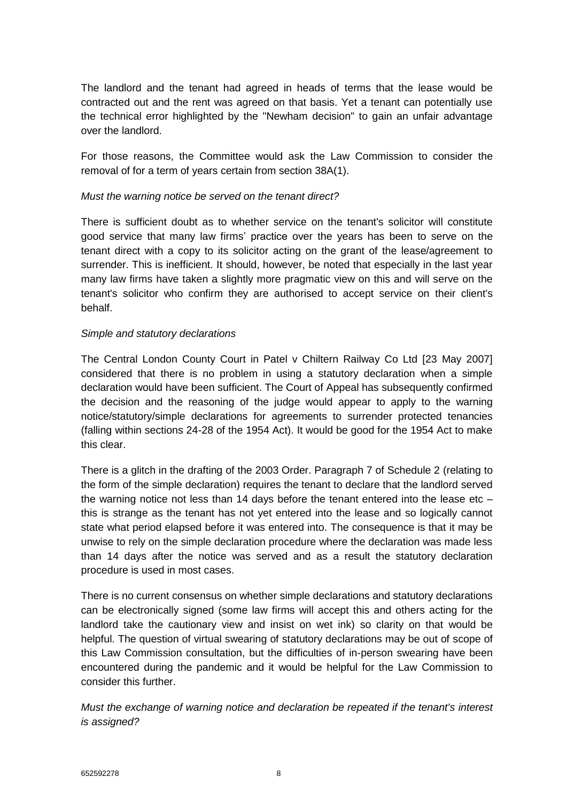The landlord and the tenant had agreed in heads of terms that the lease would be contracted out and the rent was agreed on that basis. Yet a tenant can potentially use the technical error highlighted by the "Newham decision" to gain an unfair advantage over the landlord.

For those reasons, the Committee would ask the Law Commission to consider the removal of for a term of years certain from section 38A(1).

## *Must the warning notice be served on the tenant direct?*

There is sufficient doubt as to whether service on the tenant's solicitor will constitute good service that many law firms' practice over the years has been to serve on the tenant direct with a copy to its solicitor acting on the grant of the lease/agreement to surrender. This is inefficient. It should, however, be noted that especially in the last year many law firms have taken a slightly more pragmatic view on this and will serve on the tenant's solicitor who confirm they are authorised to accept service on their client's behalf.

#### *Simple and statutory declarations*

The Central London County Court in Patel v Chiltern Railway Co Ltd [23 May 2007] considered that there is no problem in using a statutory declaration when a simple declaration would have been sufficient. The Court of Appeal has subsequently confirmed the decision and the reasoning of the judge would appear to apply to the warning notice/statutory/simple declarations for agreements to surrender protected tenancies (falling within sections 24-28 of the 1954 Act). It would be good for the 1954 Act to make this clear.

There is a glitch in the drafting of the 2003 Order. Paragraph 7 of Schedule 2 (relating to the form of the simple declaration) requires the tenant to declare that the landlord served the warning notice not less than 14 days before the tenant entered into the lease etc – this is strange as the tenant has not yet entered into the lease and so logically cannot state what period elapsed before it was entered into. The consequence is that it may be unwise to rely on the simple declaration procedure where the declaration was made less than 14 days after the notice was served and as a result the statutory declaration procedure is used in most cases.

There is no current consensus on whether simple declarations and statutory declarations can be electronically signed (some law firms will accept this and others acting for the landlord take the cautionary view and insist on wet ink) so clarity on that would be helpful. The question of virtual swearing of statutory declarations may be out of scope of this Law Commission consultation, but the difficulties of in-person swearing have been encountered during the pandemic and it would be helpful for the Law Commission to consider this further.

*Must the exchange of warning notice and declaration be repeated if the tenant's interest is assigned?*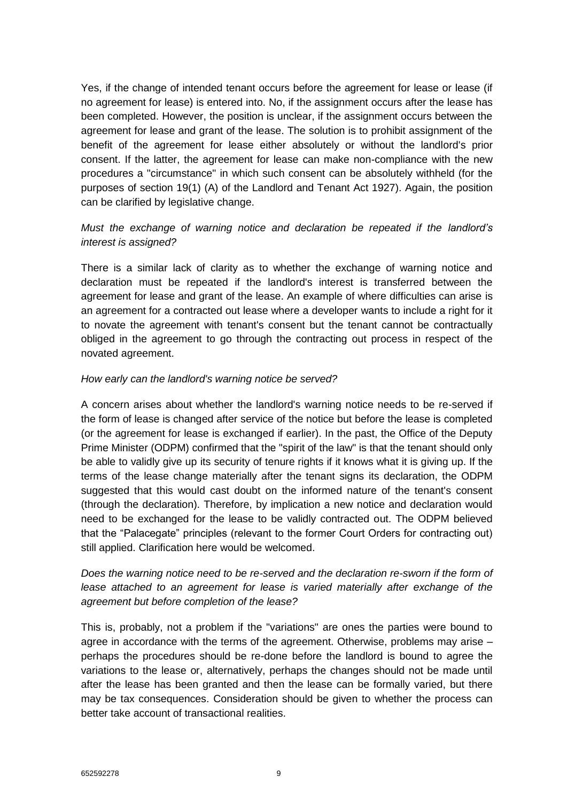Yes, if the change of intended tenant occurs before the agreement for lease or lease (if no agreement for lease) is entered into. No, if the assignment occurs after the lease has been completed. However, the position is unclear, if the assignment occurs between the agreement for lease and grant of the lease. The solution is to prohibit assignment of the benefit of the agreement for lease either absolutely or without the landlord's prior consent. If the latter, the agreement for lease can make non-compliance with the new procedures a "circumstance" in which such consent can be absolutely withheld (for the purposes of section 19(1) (A) of the Landlord and Tenant Act 1927). Again, the position can be clarified by legislative change.

## *Must the exchange of warning notice and declaration be repeated if the landlord's interest is assigned?*

There is a similar lack of clarity as to whether the exchange of warning notice and declaration must be repeated if the landlord's interest is transferred between the agreement for lease and grant of the lease. An example of where difficulties can arise is an agreement for a contracted out lease where a developer wants to include a right for it to novate the agreement with tenant's consent but the tenant cannot be contractually obliged in the agreement to go through the contracting out process in respect of the novated agreement.

## *How early can the landlord's warning notice be served?*

A concern arises about whether the landlord's warning notice needs to be re-served if the form of lease is changed after service of the notice but before the lease is completed (or the agreement for lease is exchanged if earlier). In the past, the Office of the Deputy Prime Minister (ODPM) confirmed that the "spirit of the law" is that the tenant should only be able to validly give up its security of tenure rights if it knows what it is giving up. If the terms of the lease change materially after the tenant signs its declaration, the ODPM suggested that this would cast doubt on the informed nature of the tenant's consent (through the declaration). Therefore, by implication a new notice and declaration would need to be exchanged for the lease to be validly contracted out. The ODPM believed that the "Palacegate" principles (relevant to the former Court Orders for contracting out) still applied. Clarification here would be welcomed.

# *Does the warning notice need to be re-served and the declaration re-sworn if the form of*  lease attached to an agreement for lease is varied materially after exchange of the *agreement but before completion of the lease?*

This is, probably, not a problem if the "variations" are ones the parties were bound to agree in accordance with the terms of the agreement. Otherwise, problems may arise – perhaps the procedures should be re-done before the landlord is bound to agree the variations to the lease or, alternatively, perhaps the changes should not be made until after the lease has been granted and then the lease can be formally varied, but there may be tax consequences. Consideration should be given to whether the process can better take account of transactional realities.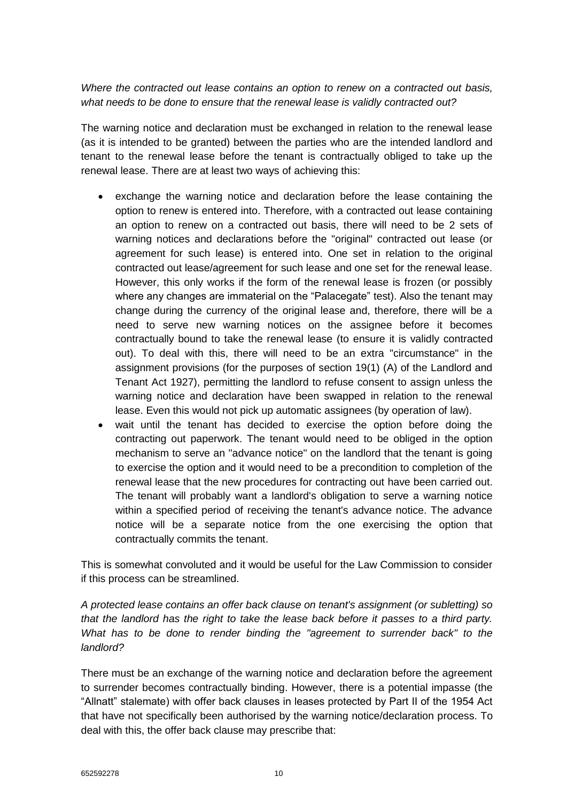*Where the contracted out lease contains an option to renew on a contracted out basis, what needs to be done to ensure that the renewal lease is validly contracted out?* 

The warning notice and declaration must be exchanged in relation to the renewal lease (as it is intended to be granted) between the parties who are the intended landlord and tenant to the renewal lease before the tenant is contractually obliged to take up the renewal lease. There are at least two ways of achieving this:

- exchange the warning notice and declaration before the lease containing the option to renew is entered into. Therefore, with a contracted out lease containing an option to renew on a contracted out basis, there will need to be 2 sets of warning notices and declarations before the "original" contracted out lease (or agreement for such lease) is entered into. One set in relation to the original contracted out lease/agreement for such lease and one set for the renewal lease. However, this only works if the form of the renewal lease is frozen (or possibly where any changes are immaterial on the "Palacegate" test). Also the tenant may change during the currency of the original lease and, therefore, there will be a need to serve new warning notices on the assignee before it becomes contractually bound to take the renewal lease (to ensure it is validly contracted out). To deal with this, there will need to be an extra "circumstance" in the assignment provisions (for the purposes of section 19(1) (A) of the Landlord and Tenant Act 1927), permitting the landlord to refuse consent to assign unless the warning notice and declaration have been swapped in relation to the renewal lease. Even this would not pick up automatic assignees (by operation of law).
- wait until the tenant has decided to exercise the option before doing the contracting out paperwork. The tenant would need to be obliged in the option mechanism to serve an "advance notice" on the landlord that the tenant is going to exercise the option and it would need to be a precondition to completion of the renewal lease that the new procedures for contracting out have been carried out. The tenant will probably want a landlord's obligation to serve a warning notice within a specified period of receiving the tenant's advance notice. The advance notice will be a separate notice from the one exercising the option that contractually commits the tenant.

This is somewhat convoluted and it would be useful for the Law Commission to consider if this process can be streamlined.

*A protected lease contains an offer back clause on tenant's assignment (or subletting) so that the landlord has the right to take the lease back before it passes to a third party. What has to be done to render binding the "agreement to surrender back" to the landlord?* 

There must be an exchange of the warning notice and declaration before the agreement to surrender becomes contractually binding. However, there is a potential impasse (the "Allnatt" stalemate) with offer back clauses in leases protected by Part II of the 1954 Act that have not specifically been authorised by the warning notice/declaration process. To deal with this, the offer back clause may prescribe that: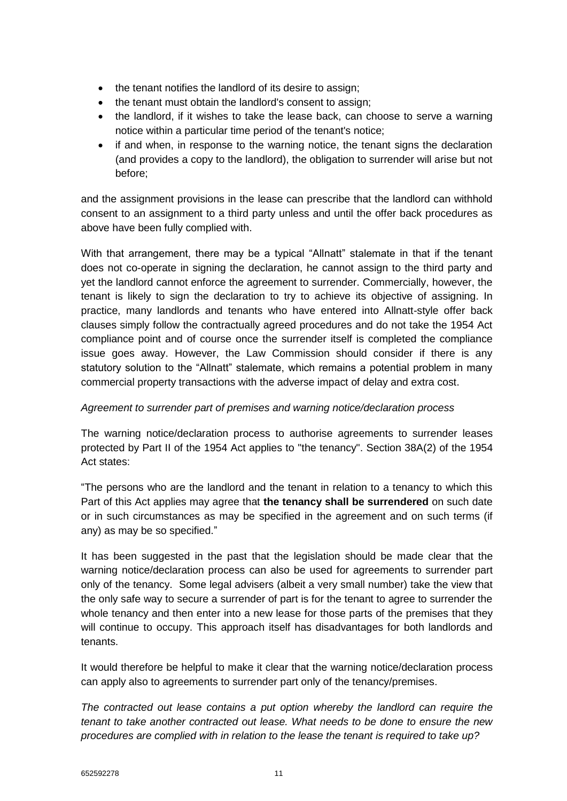- the tenant notifies the landlord of its desire to assign;
- the tenant must obtain the landlord's consent to assign:
- the landlord, if it wishes to take the lease back, can choose to serve a warning notice within a particular time period of the tenant's notice;
- if and when, in response to the warning notice, the tenant signs the declaration (and provides a copy to the landlord), the obligation to surrender will arise but not before;

and the assignment provisions in the lease can prescribe that the landlord can withhold consent to an assignment to a third party unless and until the offer back procedures as above have been fully complied with.

With that arrangement, there may be a typical "Allnatt" stalemate in that if the tenant does not co-operate in signing the declaration, he cannot assign to the third party and yet the landlord cannot enforce the agreement to surrender. Commercially, however, the tenant is likely to sign the declaration to try to achieve its objective of assigning. In practice, many landlords and tenants who have entered into Allnatt-style offer back clauses simply follow the contractually agreed procedures and do not take the 1954 Act compliance point and of course once the surrender itself is completed the compliance issue goes away. However, the Law Commission should consider if there is any statutory solution to the "Allnatt" stalemate, which remains a potential problem in many commercial property transactions with the adverse impact of delay and extra cost.

## *Agreement to surrender part of premises and warning notice/declaration process*

The warning notice/declaration process to authorise agreements to surrender leases protected by Part II of the 1954 Act applies to "the tenancy". Section 38A(2) of the 1954 Act states:

"The persons who are the landlord and the tenant in relation to a tenancy to which this Part of this Act applies may agree that **the tenancy shall be surrendered** on such date or in such circumstances as may be specified in the agreement and on such terms (if any) as may be so specified."

It has been suggested in the past that the legislation should be made clear that the warning notice/declaration process can also be used for agreements to surrender part only of the tenancy. Some legal advisers (albeit a very small number) take the view that the only safe way to secure a surrender of part is for the tenant to agree to surrender the whole tenancy and then enter into a new lease for those parts of the premises that they will continue to occupy. This approach itself has disadvantages for both landlords and tenants.

It would therefore be helpful to make it clear that the warning notice/declaration process can apply also to agreements to surrender part only of the tenancy/premises.

*The contracted out lease contains a put option whereby the landlord can require the tenant to take another contracted out lease. What needs to be done to ensure the new procedures are complied with in relation to the lease the tenant is required to take up?*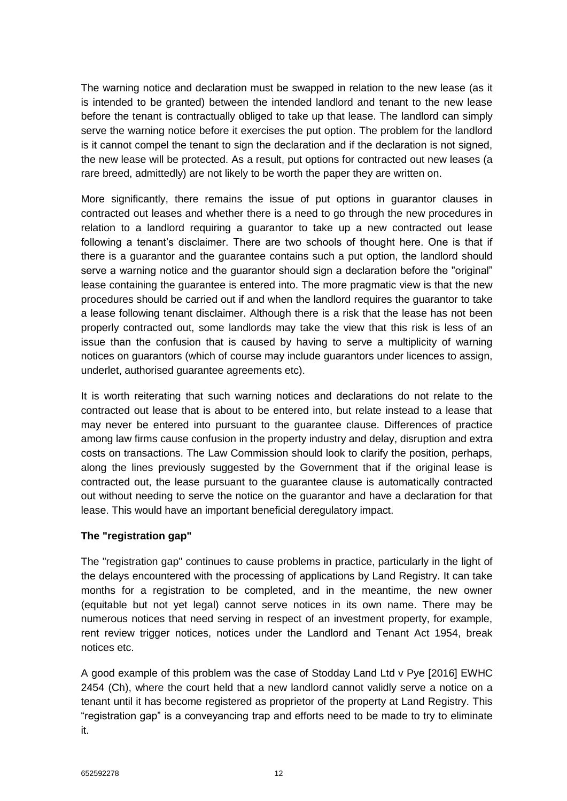The warning notice and declaration must be swapped in relation to the new lease (as it is intended to be granted) between the intended landlord and tenant to the new lease before the tenant is contractually obliged to take up that lease. The landlord can simply serve the warning notice before it exercises the put option. The problem for the landlord is it cannot compel the tenant to sign the declaration and if the declaration is not signed. the new lease will be protected. As a result, put options for contracted out new leases (a rare breed, admittedly) are not likely to be worth the paper they are written on.

More significantly, there remains the issue of put options in guarantor clauses in contracted out leases and whether there is a need to go through the new procedures in relation to a landlord requiring a guarantor to take up a new contracted out lease following a tenant's disclaimer. There are two schools of thought here. One is that if there is a guarantor and the guarantee contains such a put option, the landlord should serve a warning notice and the guarantor should sign a declaration before the "original" lease containing the guarantee is entered into. The more pragmatic view is that the new procedures should be carried out if and when the landlord requires the guarantor to take a lease following tenant disclaimer. Although there is a risk that the lease has not been properly contracted out, some landlords may take the view that this risk is less of an issue than the confusion that is caused by having to serve a multiplicity of warning notices on guarantors (which of course may include guarantors under licences to assign, underlet, authorised guarantee agreements etc).

It is worth reiterating that such warning notices and declarations do not relate to the contracted out lease that is about to be entered into, but relate instead to a lease that may never be entered into pursuant to the guarantee clause. Differences of practice among law firms cause confusion in the property industry and delay, disruption and extra costs on transactions. The Law Commission should look to clarify the position, perhaps, along the lines previously suggested by the Government that if the original lease is contracted out, the lease pursuant to the guarantee clause is automatically contracted out without needing to serve the notice on the guarantor and have a declaration for that lease. This would have an important beneficial deregulatory impact.

## **The "registration gap"**

The "registration gap" continues to cause problems in practice, particularly in the light of the delays encountered with the processing of applications by Land Registry. It can take months for a registration to be completed, and in the meantime, the new owner (equitable but not yet legal) cannot serve notices in its own name. There may be numerous notices that need serving in respect of an investment property, for example, rent review trigger notices, notices under the Landlord and Tenant Act 1954, break notices etc.

A good example of this problem was the case of Stodday Land Ltd v Pye [2016] EWHC 2454 (Ch), where the court held that a new landlord cannot validly serve a notice on a tenant until it has become registered as proprietor of the property at Land Registry. This "registration gap" is a conveyancing trap and efforts need to be made to try to eliminate it.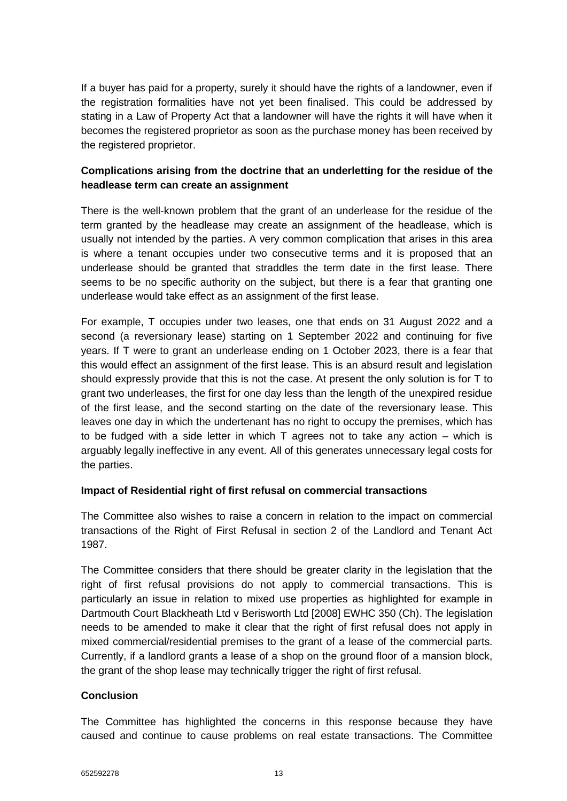If a buyer has paid for a property, surely it should have the rights of a landowner, even if the registration formalities have not yet been finalised. This could be addressed by stating in a Law of Property Act that a landowner will have the rights it will have when it becomes the registered proprietor as soon as the purchase money has been received by the registered proprietor.

## **Complications arising from the doctrine that an underletting for the residue of the headlease term can create an assignment**

There is the well-known problem that the grant of an underlease for the residue of the term granted by the headlease may create an assignment of the headlease, which is usually not intended by the parties. A very common complication that arises in this area is where a tenant occupies under two consecutive terms and it is proposed that an underlease should be granted that straddles the term date in the first lease. There seems to be no specific authority on the subject, but there is a fear that granting one underlease would take effect as an assignment of the first lease.

For example, T occupies under two leases, one that ends on 31 August 2022 and a second (a reversionary lease) starting on 1 September 2022 and continuing for five years. If T were to grant an underlease ending on 1 October 2023, there is a fear that this would effect an assignment of the first lease. This is an absurd result and legislation should expressly provide that this is not the case. At present the only solution is for T to grant two underleases, the first for one day less than the length of the unexpired residue of the first lease, and the second starting on the date of the reversionary lease. This leaves one day in which the undertenant has no right to occupy the premises, which has to be fudged with a side letter in which T agrees not to take any action – which is arguably legally ineffective in any event. All of this generates unnecessary legal costs for the parties.

## **Impact of Residential right of first refusal on commercial transactions**

The Committee also wishes to raise a concern in relation to the impact on commercial transactions of the Right of First Refusal in section 2 of the Landlord and Tenant Act 1987.

The Committee considers that there should be greater clarity in the legislation that the right of first refusal provisions do not apply to commercial transactions. This is particularly an issue in relation to mixed use properties as highlighted for example in Dartmouth Court Blackheath Ltd v Berisworth Ltd [2008] EWHC 350 (Ch). The legislation needs to be amended to make it clear that the right of first refusal does not apply in mixed commercial/residential premises to the grant of a lease of the commercial parts. Currently, if a landlord grants a lease of a shop on the ground floor of a mansion block, the grant of the shop lease may technically trigger the right of first refusal.

## **Conclusion**

The Committee has highlighted the concerns in this response because they have caused and continue to cause problems on real estate transactions. The Committee